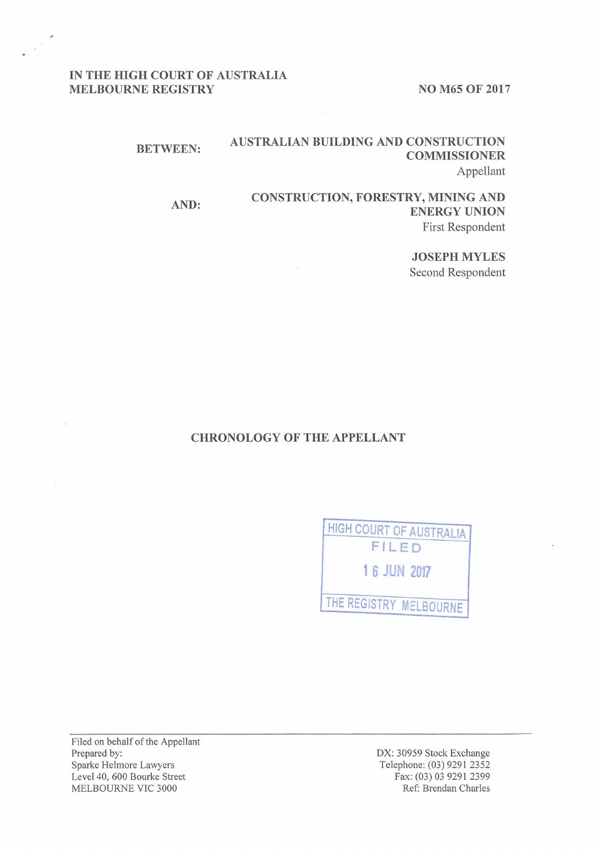# IN THE HIGH COURT OF AUSTRALIA MELBOURNE REGISTRY NO M65 OF 2017

#### BETWEEN: AUSTRALIAN BUILDING AND CONSTRUCTION COMMISSIONER Appellant

#### AND: CONSTRUCTION, FORESTRY, MINING AND ENERGY UNION First Respondent

JOSEPH MYLES Second Respondent

## CHRONOLOGY OF THE APPELLANT

| <b>HIGH COURT OF AUSTRALIA</b> |
|--------------------------------|
| FILED                          |
| 1 6 JUN 2017                   |
| THE REGISTRY MELBOURNE         |
|                                |

Filed on behalf of the Appellant Prepared by: Sparke Helmore Lawyers Level 40, 600 Bourke Street MELBOURNE VIC 3000

DX: 30959 Stock Exchange Telephone: (03) 9291 2352 Fax: (03) 03 9291 2399 Ref: Brendan Charles